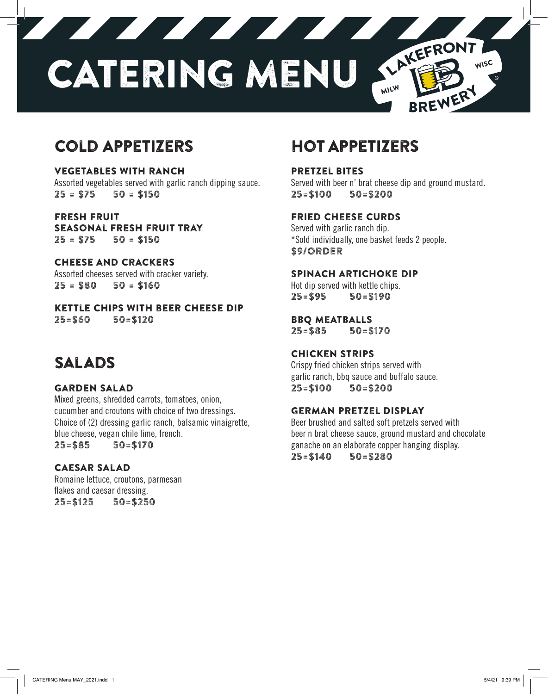

## Cold Appetizers

Vegetables with Ranch Assorted vegetables served with garlic ranch dipping sauce.  $25 = $75$   $50 = $150$ 

Fresh Fruit Seasonal fresh fruit tray  $25 = $75$   $50 = $150$ 

Cheese and Crackers Assorted cheeses served with cracker variety.  $25 = $80$   $50 = $160$ 

Kettle chips with beer cheese dip 25=\$60 50=\$120

## Salads

#### Garden salad

Mixed greens, shredded carrots, tomatoes, onion, cucumber and croutons with choice of two dressings. Choice of (2) dressing garlic ranch, balsamic vinaigrette, blue cheese, vegan chile lime, french. 25=\$85 50=\$170

#### Caesar Salad

Romaine lettuce, croutons, parmesan flakes and caesar dressing. 25=\$125 50=\$250

## Hot Appetizers

Pretzel Bites

Served with beer n' brat cheese dip and ground mustard. 25=\$100 50=\$200

#### Fried Cheese curds

Served with garlic ranch dip. \*Sold individually, one basket feeds 2 people. \$9/order

#### SPINACH ARTICHOKE DIP

Hot dip served with kettle chips. 25=\$95 50=\$190

#### Bbq meatballs

25=\$85 50=\$170

#### Chicken Strips

Crispy fried chicken strips served with garlic ranch, bbq sauce and buffalo sauce. 25=\$100 50=\$200

#### German Pretzel Display

Beer brushed and salted soft pretzels served with beer n brat cheese sauce, ground mustard and chocolate ganache on an elaborate copper hanging display. 25=\$140 50=\$280